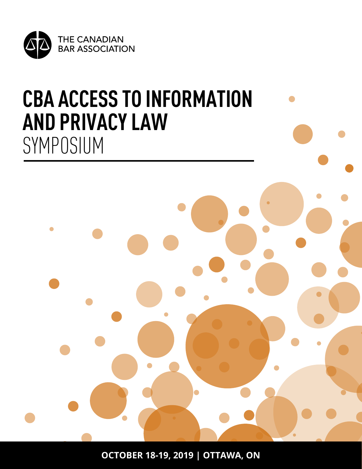

# **CBA ACCESS TO INFORMATION AND PRIVACY LAW**  SYMPOSIUM



**OCTOBER 18-19, 2019 | OTTAWA, ON**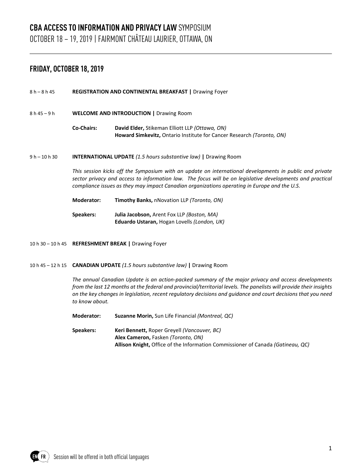## **CBA ACCESS TO INFORMATION AND PRIVACY LAW** SYMPOSIUM OCTOBER 18 – 19, 2019 | FAIRMONT CHÂTEAU LAURIER, OTTAWA, ON

### **FRIDAY, OCTOBER 18, 2019**

- 8 h 8 h 45 **REGISTRATION AND CONTINENTAL BREAKFAST |** Drawing Foyer
- 8 h 45 9 h **WELCOME AND INTRODUCTION |** Drawing Room
	- **Co-Chairs: David Elder,** Stikeman Elliott LLP *(Ottawa, ON)* **Howard Simkevitz,** Ontario Institute for Cancer Research *(Toronto, ON)*
- 9 h 10 h 30 **INTERNATIONAL UPDATE** *(1.5 hours substantive law)* **|** Drawing Room

*This session kicks off the Symposium with an update on international developments in public and private sector privacy and access to information law. The focus will be on legislative developments and practical compliance issues as they may impact Canadian organizations operating in Europe and the U.S.*

- **Moderator: Timothy Banks,** nNovation LLP *(Toronto, ON)*
- **Speakers: Julia Jacobson,** Arent Fox LLP *(Boston, MA)* **Eduardo Ustaran,** Hogan Lovells *(London, UK)*
- 10 h 30 10 h 45 **REFRESHMENT BREAK |** Drawing Foyer
- 10 h 45 12 h 15 **CANADIAN UPDATE** *(1.5 hours substantive law)* **|** Drawing Room

*The annual Canadian Update is an action-packed summary of the major privacy and access developments from the last 12 months at the federal and provincial/territorial levels. The panelists will provide their insights on the key changes in legislation, recent regulatory decisions and guidance and court decisions that you need to know about.*

**Moderator: Suzanne Morin,** Sun Life Financial *(Montreal, QC)*

**Speakers: Keri Bennett,** Roper Greyell *(Vancouver, BC)* **Alex Cameron,** Fasken *(Toronto, ON)* **Allison Knight,** Office of the Information Commissioner of Canada *(Gatineau, QC)*

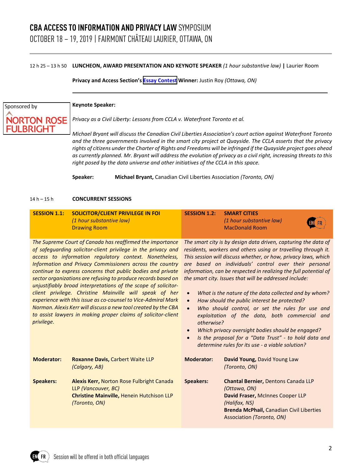#### 12 h 25 – 13 h 50 **LUNCHEON, AWARD PRESENTATION AND KEYNOTE SPEAKER** *(1 hour substantive law)* **|** Laurier Room

**Privacy and Access Section's [Essay Contest](http://www.cba.org/Sections/Privacy-and-Access/Resources/Resources/2019/Winner-of-2019-Privacy-and-Access-Law-Student-Essa) Winner:** Justin Roy *(Ottawa, ON)* 

## Sponsored by **NORTON ROSE** LBRIGHT

#### **Keynote Speaker:**

*Privacy as a Civil Liberty: Lessons from CCLA v. Waterfront Toronto et al.*

*Michael Bryant will discuss the Canadian Civil Liberties Association's court action against Waterfront Toronto and the three governments involved in the smart city project at Quayside. The CCLA asserts that the privacy rights of citizens under the Charter of Rights and Freedoms will be infringed if the Quayside project goes ahead as currently planned. Mr. Bryant will address the evolution of privacy as a civil right, increasing threats to this right posed by the data universe and other initiatives of the CCLA in this space.*

**Speaker: Michael Bryant,** Canadian Civil Liberties Association *(Toronto, ON)*

#### 14 h – 15 h **CONCURRENT SESSIONS**

| <b>SESSION 1.1:</b>                                                                                                                                                                                                                                                                                                                                                                                                                                                                                                                                                                                                                                                                                                             | <b>SOLICITOR/CLIENT PRIVILEGE IN FOI</b><br>(1 hour substantive law)<br><b>Drawing Room</b>                                    | <b>SESSION 1.2:</b>                                                                                                                                                                                                                                                                                                                                                                                                                                                                                                                                                                                                                                                                                                                                                                                                                                     | <b>SMART CITIES</b><br>(1 hour substantive law)<br><b>MacDonald Room</b>                                                                                                                        |  |
|---------------------------------------------------------------------------------------------------------------------------------------------------------------------------------------------------------------------------------------------------------------------------------------------------------------------------------------------------------------------------------------------------------------------------------------------------------------------------------------------------------------------------------------------------------------------------------------------------------------------------------------------------------------------------------------------------------------------------------|--------------------------------------------------------------------------------------------------------------------------------|---------------------------------------------------------------------------------------------------------------------------------------------------------------------------------------------------------------------------------------------------------------------------------------------------------------------------------------------------------------------------------------------------------------------------------------------------------------------------------------------------------------------------------------------------------------------------------------------------------------------------------------------------------------------------------------------------------------------------------------------------------------------------------------------------------------------------------------------------------|-------------------------------------------------------------------------------------------------------------------------------------------------------------------------------------------------|--|
| The Supreme Court of Canada has reaffirmed the importance<br>of safeguarding solicitor-client privilege in the privacy and<br>access to information regulatory context. Nonetheless,<br>Information and Privacy Commissioners across the country<br>continue to express concerns that public bodies and private<br>sector organizations are refusing to produce records based on<br>unjustifiably broad interpretations of the scope of solicitor-<br>client privilege. Christine Mainville will speak of her<br>experience with this issue as co-counsel to Vice-Admiral Mark<br>Norman. Alexis Kerr will discuss a new tool created by the CBA<br>to assist lawyers in making proper claims of solicitor-client<br>privilege. |                                                                                                                                | The smart city is by design data driven, capturing the data of<br>residents, workers and others using or travelling through it.<br>This session will discuss whether, or how, privacy laws, which<br>are based on individuals' control over their personal<br>information, can be respected in realizing the full potential of<br>the smart city. Issues that will be addressed include:<br>What is the nature of the data collected and by whom?<br>$\bullet$<br>How should the public interest be protected?<br>$\bullet$<br>Who should control, or set the rules for use and<br>$\bullet$<br>exploitation of the data, both commercial and<br>otherwise?<br>Which privacy oversight bodies should be engaged?<br>$\bullet$<br>Is the proposal for a "Data Trust" - to hold data and<br>$\bullet$<br>determine rules for its use - a viable solution? |                                                                                                                                                                                                 |  |
| <b>Moderator:</b>                                                                                                                                                                                                                                                                                                                                                                                                                                                                                                                                                                                                                                                                                                               | <b>Roxanne Davis, Carbert Waite LLP</b><br>(Calgary, AB)                                                                       | <b>Moderator:</b>                                                                                                                                                                                                                                                                                                                                                                                                                                                                                                                                                                                                                                                                                                                                                                                                                                       | David Young, David Young Law<br>(Toronto, ON)                                                                                                                                                   |  |
| <b>Speakers:</b>                                                                                                                                                                                                                                                                                                                                                                                                                                                                                                                                                                                                                                                                                                                | Alexis Kerr, Norton Rose Fulbright Canada<br>LLP (Vancouver, BC)<br>Christine Mainville, Henein Hutchison LLP<br>(Toronto, ON) | <b>Speakers:</b>                                                                                                                                                                                                                                                                                                                                                                                                                                                                                                                                                                                                                                                                                                                                                                                                                                        | Chantal Bernier, Dentons Canada LLP<br>(Ottawa, ON)<br>David Fraser, McInnes Cooper LLP<br>(Halifax, NS)<br><b>Brenda McPhail, Canadian Civil Liberties</b><br><b>Association (Toronto, ON)</b> |  |

FR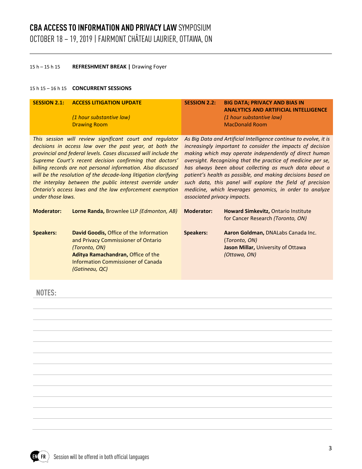## **CBA ACCESS TO INFORMATION AND PRIVACY LAW** SYMPOSIUM OCTOBER 18 – 19, 2019 | FAIRMONT CHÂTEAU LAURIER, OTTAWA, ON

#### 15 h – 15 h 15 **REFRESHMENT BREAK |** Drawing Foyer

#### 15 h 15 – 16 h 15 **CONCURRENT SESSIONS**

| <b>SESSION 2.1:</b>                                                                                                                                                                                                                                                                                                                                                                                                                                                                                                               | <b>ACCESS LITIGATION UPDATE</b><br>(1 hour substantive law)<br><b>Drawing Room</b>                                                                                                                   | <b>SESSION 2.2:</b>                                                                                                                                                                                                                                                                                                                                                                                                                                                                                                                      | <b>BIG DATA; PRIVACY AND BIAS IN</b><br><b>ANALYTICS AND ARTIFICIAL INTELLIGENCE</b><br>(1 hour substantive law)<br><b>MacDonald Room</b> |
|-----------------------------------------------------------------------------------------------------------------------------------------------------------------------------------------------------------------------------------------------------------------------------------------------------------------------------------------------------------------------------------------------------------------------------------------------------------------------------------------------------------------------------------|------------------------------------------------------------------------------------------------------------------------------------------------------------------------------------------------------|------------------------------------------------------------------------------------------------------------------------------------------------------------------------------------------------------------------------------------------------------------------------------------------------------------------------------------------------------------------------------------------------------------------------------------------------------------------------------------------------------------------------------------------|-------------------------------------------------------------------------------------------------------------------------------------------|
| This session will review significant court and regulator<br>decisions in access law over the past year, at both the<br>provincial and federal levels. Cases discussed will include the<br>Supreme Court's recent decision confirming that doctors'<br>billing records are not personal information. Also discussed<br>will be the resolution of the decade-long litigation clarifying<br>the interplay between the public interest override under<br>Ontario's access laws and the law enforcement exemption<br>under those laws. |                                                                                                                                                                                                      | As Big Data and Artificial Intelligence continue to evolve, it is<br>increasingly important to consider the impacts of decision<br>making which may operate independently of direct human<br>oversight. Recognizing that the practice of medicine per se,<br>has always been about collecting as much data about a<br>patient's health as possible, and making decisions based on<br>such data, this panel will explore the field of precision<br>medicine, which leverages genomics, in order to analyze<br>associated privacy impacts. |                                                                                                                                           |
| <b>Moderator:</b>                                                                                                                                                                                                                                                                                                                                                                                                                                                                                                                 | <b>Lorne Randa, Brownlee LLP (Edmonton, AB)</b>                                                                                                                                                      | <b>Moderator:</b>                                                                                                                                                                                                                                                                                                                                                                                                                                                                                                                        | Howard Simkevitz, Ontario Institute<br>for Cancer Research (Toronto, ON)                                                                  |
| <b>Speakers:</b>                                                                                                                                                                                                                                                                                                                                                                                                                                                                                                                  | David Goodis, Office of the Information<br>and Privacy Commissioner of Ontario<br>(Toronto, ON)<br>Aditya Ramachandran, Office of the<br><b>Information Commissioner of Canada</b><br>(Gatineau, QC) | <b>Speakers:</b>                                                                                                                                                                                                                                                                                                                                                                                                                                                                                                                         | Aaron Goldman, DNALabs Canada Inc.<br>(Toronto, ON)<br>Jason Millar, University of Ottawa<br>(Ottawa, ON)                                 |

**NOTES:** 

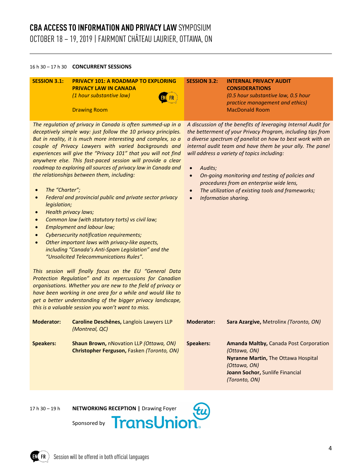## **CBA ACCESS TO INFORMATION AND PRIVACY LAW** SYMPOSIUM OCTOBER 18 – 19, 2019 | FAIRMONT CHÂTEAU LAURIER, OTTAWA, ON

#### 16 h 30 – 17 h 30 **CONCURRENT SESSIONS**

#### **SESSION 3.1: PRIVACY 101: A ROADMAP TO EXPLORING PRIVACY LAW IN CANADA** *(1 hour substantive law)*

Drawing Room



#### **SESSION 3.2: INTERNAL PRIVACY AUDIT CONSIDERATIONS**

*A discussion of the benefits of leveraging Internal Audit for the betterment of your Privacy Program, including tips from a diverse spectrum of panelist on how to best work with an internal audit team and have them be your ally. The panel* 

• *On-going monitoring and testing of policies and procedures from an enterprise wide lens,*  • *The utilization of existing tools and frameworks;*

*will address a variety of topics including:*

• *Audits;*

• *Information sharing.*

*(0.5 hour substantive law, 0.5 hour practice management and ethics)* MacDonald Room

*The regulation of privacy in Canada is often summed-up in a deceptively simple way: just follow the 10 privacy principles. But in reality, it is much more interesting and complex, so a couple of Privacy Lawyers with varied backgrounds and experiences will give the "Privacy 101" that you will not find anywhere else. This fast-paced session will provide a clear roadmap to exploring all sources of privacy law in Canada and the relationships between them, including:*

- *The "Charter";*
- *Federal and provincial public and private sector privacy legislation;*
- *Health privacy laws;*
- *Common law (with statutory torts) vs civil law;*
- *Employment and labour law;*
- *Cybersecurity notification requirements;*
- *Other important laws with privacy-like aspects, including "Canada's Anti-Spam Legislation" and the "Unsolicited Telecommunications Rules".*

*This session will finally focus on the EU "General Data Protection Regulation" and its repercussions for Canadian organisations. Whether you are new to the field of privacy or have been working in one area for a while and would like to get a better understanding of the bigger privacy landscape, this is a valuable session you won't want to miss.*

| <b>Moderator:</b> | Caroline Deschênes, Langlois Lawyers LLP<br>(Montreal, QC)                                   | Moderator: | Sara Azargive, Metrolinx (Toronto, ON)                                                                                                                                          |
|-------------------|----------------------------------------------------------------------------------------------|------------|---------------------------------------------------------------------------------------------------------------------------------------------------------------------------------|
| <b>Speakers:</b>  | <b>Shaun Brown, nNovation LLP (Ottawa, ON)</b><br>Christopher Ferguson, Fasken (Toronto, ON) | Speakers:  | <b>Amanda Maltby, Canada Post Corporation</b><br>(Ottawa, ON)<br><b>Nyranne Martin, The Ottawa Hospital</b><br>(Ottawa, ON)<br>Joann Sochor, Sunlife Financial<br>(Toronto, ON) |

FR

17 h 30 – 19 h **NETWORKING RECEPTION |** Drawing Foyer



Sponsored by





4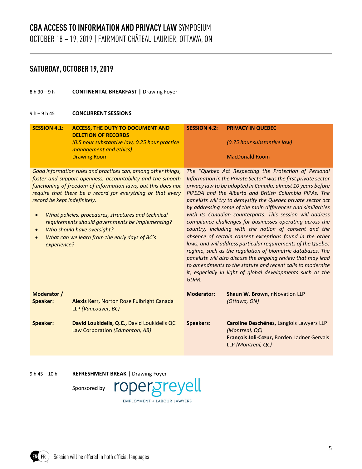## **SATURDAY, OCTOBER 19, 2019**

8 h 30 – 9 h **CONTINENTAL BREAKFAST |** Drawing Foyer

#### 9 h – 9 h 45 **CONCURRENT SESSIONS**

| <b>SESSION 4.1:</b>                                                                                                                                                                                                                                                                                                                                                                                                                                                                                                            | <b>ACCESS, THE DUTY TO DOCUMENT AND</b><br><b>DELETION OF RECORDS</b><br>(0.5 hour substantive law, 0.25 hour practice<br>management and ethics)<br><b>Drawing Room</b> | <b>SESSION 4.2:</b>                                                                                                                                                                                                                                                                                                                                                                                                                                                                                                                                                                                                                                                                                                                                                                                                                                                                                                                                                 | <b>PRIVACY IN QUEBEC</b><br>(0.75 hour substantive law)<br><b>MacDonald Room</b>                                              |
|--------------------------------------------------------------------------------------------------------------------------------------------------------------------------------------------------------------------------------------------------------------------------------------------------------------------------------------------------------------------------------------------------------------------------------------------------------------------------------------------------------------------------------|-------------------------------------------------------------------------------------------------------------------------------------------------------------------------|---------------------------------------------------------------------------------------------------------------------------------------------------------------------------------------------------------------------------------------------------------------------------------------------------------------------------------------------------------------------------------------------------------------------------------------------------------------------------------------------------------------------------------------------------------------------------------------------------------------------------------------------------------------------------------------------------------------------------------------------------------------------------------------------------------------------------------------------------------------------------------------------------------------------------------------------------------------------|-------------------------------------------------------------------------------------------------------------------------------|
| Good information rules and practices can, among other things,<br>foster and support openness, accountability and the smooth<br>functioning of freedom of information laws, but this does not<br>require that there be a record for everything or that every<br>record be kept indefinitely.<br>What policies, procedures, structures and technical<br>$\bullet$<br>requirements should governments be implementing?<br>Who should have oversight?<br>$\bullet$<br>What can we learn from the early days of BC's<br>experience? |                                                                                                                                                                         | The "Quebec Act Respecting the Protection of Personal<br>Information in the Private Sector" was the first private sector<br>privacy law to be adopted in Canada, almost 10 years before<br>PIPEDA and the Alberta and British Columbia PIPAs. The<br>panelists will try to demystify the Quebec private sector act<br>by addressing some of the main differences and similarities<br>with its Canadian counterparts. This session will address<br>compliance challenges for businesses operating across the<br>country, including with the notion of consent and the<br>absence of certain consent exceptions found in the other<br>laws, and will address particular requirements of the Quebec<br>regime, such as the regulation of biometric databases. The<br>panelists will also discuss the ongoing review that may lead<br>to amendments to the statute and recent calls to modernize<br>it, especially in light of global developments such as the<br>GDPR. |                                                                                                                               |
| Moderator /<br>Speaker:                                                                                                                                                                                                                                                                                                                                                                                                                                                                                                        | Alexis Kerr, Norton Rose Fulbright Canada<br>LLP (Vancouver, BC)                                                                                                        | <b>Moderator:</b>                                                                                                                                                                                                                                                                                                                                                                                                                                                                                                                                                                                                                                                                                                                                                                                                                                                                                                                                                   | Shaun W. Brown, nNovation LLP<br>(Ottawa, ON)                                                                                 |
| Speaker:                                                                                                                                                                                                                                                                                                                                                                                                                                                                                                                       | David Loukidelis, Q.C., David Loukidelis QC<br>Law Corporation (Edmonton, AB)                                                                                           | <b>Speakers:</b>                                                                                                                                                                                                                                                                                                                                                                                                                                                                                                                                                                                                                                                                                                                                                                                                                                                                                                                                                    | Caroline Deschênes, Langlois Lawyers LLP<br>(Montreal, QC)<br>François Joli-Cœur, Borden Ladner Gervais<br>LLP (Montreal, QC) |

9 h 45 – 10 h **REFRESHMENT BREAK |** Drawing Foyer

Sponsored by



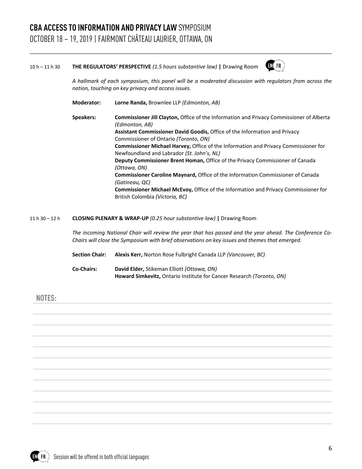#### 10 h – 11 h 30 **THE REGULATORS' PERSPECTIVE** *(1.5 hours substantive law)* **|** Drawing Room

**Moderator: Lorne Randa,** Brownlee LLP *(Edmonton, AB)*



*A hallmark of each symposium, this panel will be a moderated discussion with regulators from across the nation, touching on key privacy and access issues.*

**Speakers: Commissioner Jill Clayton,** Office of the Information and Privacy Commissioner of Alberta *(Edmonton, AB)* **Assistant Commissioner David Goodis,** Office of the Information and Privacy Commissioner of Ontario *(Toronto, ON)* **Commissioner Michael Harvey,** Office of the Information and Privacy Commissioner for Newfoundland and Labrador *(St. John's, NL)* **Deputy Commissioner Brent Homan,** Office of the Privacy Commissioner of Canada *(Ottawa, ON)* **Commissioner Caroline Maynard,** Office of the Information Commissioner of Canada *(Gatineau, QC)* **Commissioner Michael McEvoy,** Office of the Information and Privacy Commissioner for British Colombia *(Victoria, BC)*

#### 11 h 30 – 12 h **CLOSING PLENARY & WRAP-UP** *(0.25 hour substantive law)* **|** Drawing Room

*The incoming National Chair will review the year that has passed and the year ahead. The Conference Co-Chairs will close the Symposium with brief observations on key issues and themes that emerged.*

| <b>Section Chair:</b> | <b>Alexis Kerr, Norton Rose Fulbright Canada LLP (Vancouver, BC)</b>         |
|-----------------------|------------------------------------------------------------------------------|
| <b>Co-Chairs:</b>     | David Elder, Stikeman Elliott (Ottawa, ON)                                   |
|                       | <b>Howard Simkevitz, Ontario Institute for Cancer Research (Toronto, ON)</b> |

#### **NOTES:**